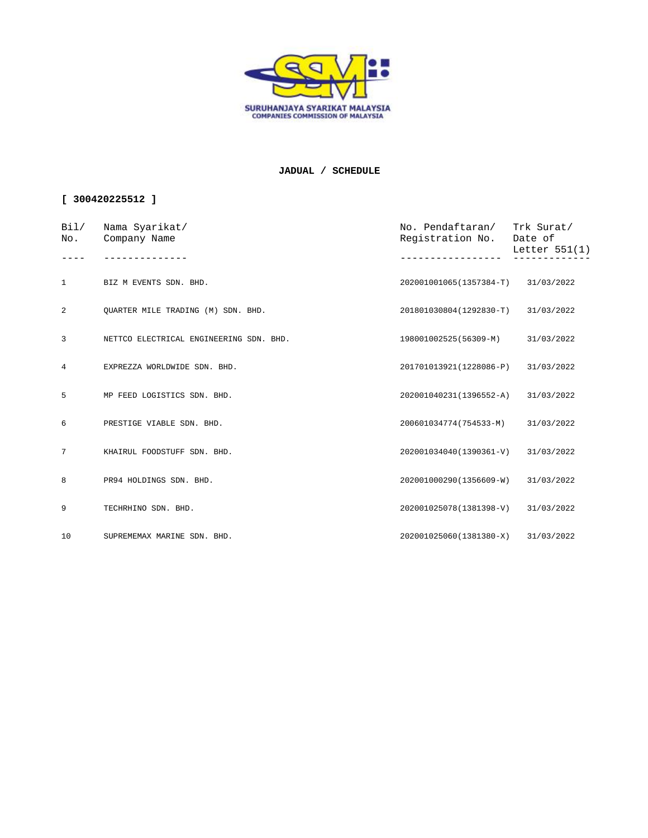

## **JADUAL / SCHEDULE**

## **[ 300420225512 ]**

| Bi1/<br>No.     | Nama Syarikat/<br>Company Name<br>------------ | No. Pendaftaran/ Trk Surat/<br>Registration No. Date of | Letter 551(1) |
|-----------------|------------------------------------------------|---------------------------------------------------------|---------------|
|                 |                                                |                                                         |               |
| $\mathbf{1}$    | BIZ M EVENTS SDN. BHD.                         | 202001001065(1357384-T) 31/03/2022                      |               |
| 2               | OUARTER MILE TRADING (M) SDN. BHD.             | 201801030804(1292830-T) 31/03/2022                      |               |
| 3               | NETTCO ELECTRICAL ENGINEERING SDN. BHD.        | 198001002525(56309-M)                                   | 31/03/2022    |
| $4\overline{ }$ | EXPREZZA WORLDWIDE SDN. BHD.                   | 201701013921(1228086-P)                                 | 31/03/2022    |
| 5               | MP FEED LOGISTICS SDN. BHD.                    | 202001040231(1396552-A)                                 | 31/03/2022    |
| 6               | PRESTIGE VIABLE SDN. BHD.                      | 200601034774(754533-M)                                  | 31/03/2022    |
| $7\overline{ }$ | KHAIRUL FOODSTUFF SDN. BHD.                    | 202001034040(1390361-V)                                 | 31/03/2022    |
| 8               | PR94 HOLDINGS SDN. BHD.                        | 202001000290(1356609-W)                                 | 31/03/2022    |
| 9               | TECHRHINO SDN. BHD.                            | 202001025078(1381398-V)                                 | 31/03/2022    |
| 10              | SUPREMEMAX MARINE SDN. BHD.                    | 202001025060(1381380-X) 31/03/2022                      |               |